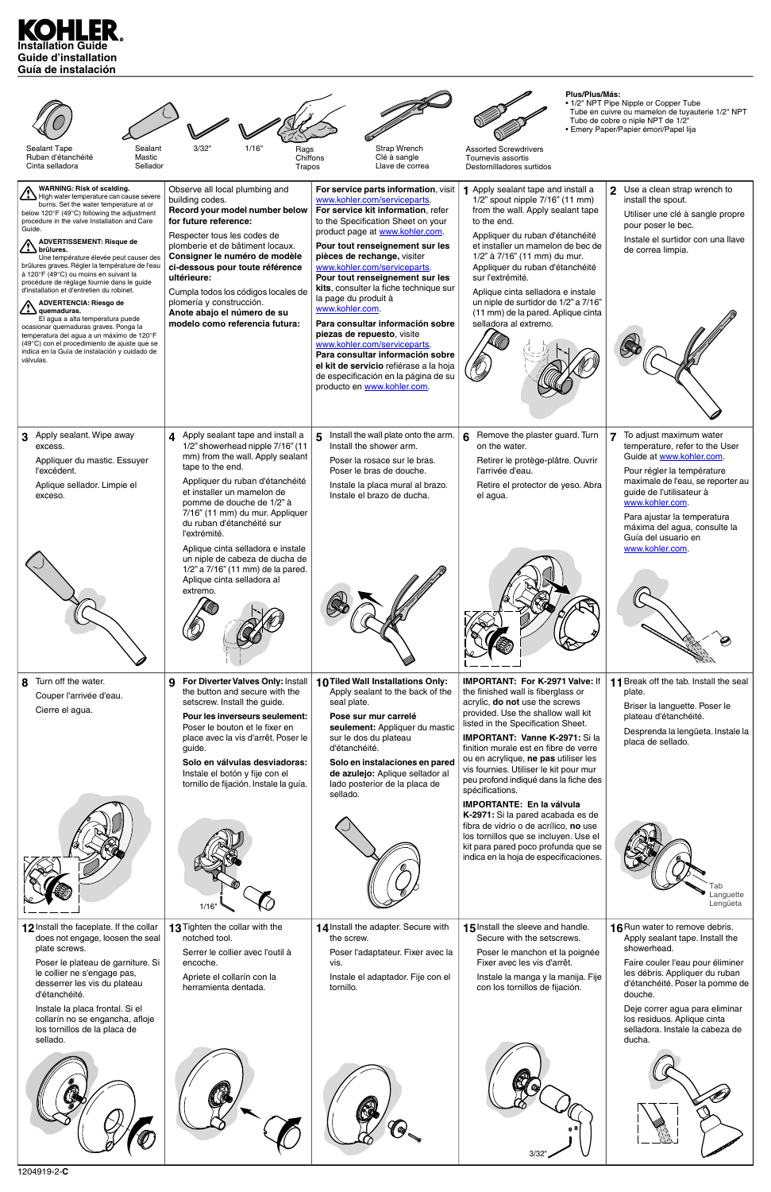# **Installation Guide Guide d'installation Guía de instalación**

| Sealant Tape<br>Sealant<br>Ruban d'étanchéité<br>Mastic<br>Cinta selladora<br>Sellador                                                                                                                                                                                                                                                                                                                                                                                                                                                                                                                                                                                                                                                                                                                                                                            | 3/32"<br>1/16"<br>Rags<br>Chiffons<br>Trapos                                                                                                                                                                                                                                                                                                                                                           | <b>Strap Wrench</b><br>Clé à sangle<br>Llave de correa                                                                                                                                                                                                                                                                                                                                                                                                                                                                                                                                                                                                               | Plus/Plus/Más:<br><b>Assorted Screwdrivers</b><br>Tournevis assortis<br>Destornilladores surtidos                                                                                                                                                                                                                                                                                                                                    | • 1/2" NPT Pipe Nipple or Copper Tube<br>Tube en cuivre ou mamelon de tuyauterie 1/2" NPT<br>Tubo de cobre o niple NPT de 1/2"<br>· Emery Paper/Papier émori/Papel lija                                                                                                                                                            |
|-------------------------------------------------------------------------------------------------------------------------------------------------------------------------------------------------------------------------------------------------------------------------------------------------------------------------------------------------------------------------------------------------------------------------------------------------------------------------------------------------------------------------------------------------------------------------------------------------------------------------------------------------------------------------------------------------------------------------------------------------------------------------------------------------------------------------------------------------------------------|--------------------------------------------------------------------------------------------------------------------------------------------------------------------------------------------------------------------------------------------------------------------------------------------------------------------------------------------------------------------------------------------------------|----------------------------------------------------------------------------------------------------------------------------------------------------------------------------------------------------------------------------------------------------------------------------------------------------------------------------------------------------------------------------------------------------------------------------------------------------------------------------------------------------------------------------------------------------------------------------------------------------------------------------------------------------------------------|--------------------------------------------------------------------------------------------------------------------------------------------------------------------------------------------------------------------------------------------------------------------------------------------------------------------------------------------------------------------------------------------------------------------------------------|------------------------------------------------------------------------------------------------------------------------------------------------------------------------------------------------------------------------------------------------------------------------------------------------------------------------------------|
| <b>WARNING: Risk of scalding.</b><br>$\rightarrow$ High water temperature can cause severe<br>burns. Set the water temperature at or<br>below 120°F (49°C) following the adjustment<br>procedure in the valve Installation and Care<br>Guide.<br><b>ADVERTISSEMENT: Risque de</b><br>$\rightarrow$ brûlures.<br>Une température élevée peut causer des<br>brûlures graves. Régler la température de l'eau<br>à 120°F (49°C) ou moins en suivant la<br>procédure de réglage fournie dans le guide<br>d'installation et d'entretien du robinet.<br><b>ADVERTENCIA: Riesgo de</b><br>$\rightarrow$ $\rightarrow$ quemaduras.<br>El agua a alta temperatura puede<br>ocasionar quemaduras graves. Ponga la<br>temperatura del agua a un máximo de 120°F<br>(49°C) con el procedimiento de ajuste que se<br>indica en la Guía de instalación y cuidado de<br>válvulas. | Observe all local plumbing and<br>building codes.<br>Record your model number below<br>for future reference:<br>Respecter tous les codes de<br>plomberie et de bâtiment locaux.<br>Consigner le numéro de modèle<br>ci-dessous pour toute référence<br>ultérieure:<br>Cumpla todos los códigos locales de<br>plomería y construcción.<br>Anote abajo el número de su<br>modelo como referencia futura: | For service parts information, visit<br>www.kohler.com/serviceparts.<br>For service kit information, refer<br>to the Specification Sheet on your<br>product page at www.kohler.com.<br>Pour tout renseignement sur les<br>pièces de rechange, visiter<br>www.kohler.com/serviceparts.<br>Pour tout renseignement sur les<br>kits, consulter la fiche technique sur<br>la page du produit à<br>www.kohler.com.<br>Para consultar información sobre<br>piezas de repuesto, visite<br>www.kohler.com/serviceparts.<br>Para consultar información sobre<br>el kit de servicio refiérase a la hoja<br>de especificación en la página de su<br>producto en www.kohler.com. | 1 Apply sealant tape and install a<br>1/2" spout nipple 7/16" (11 mm)<br>from the wall. Apply sealant tape<br>to the end.<br>Appliquer du ruban d'étanchéité<br>et installer un mamelon de bec de<br>1/2" à 7/16" (11 mm) du mur.<br>Appliquer du ruban d'étanchéité<br>sur l'extrémité.<br>Aplique cinta selladora e instale<br>un niple de surtidor de 1/2" a 7/16"<br>(11 mm) de la pared. Aplique cinta<br>selladora al extremo. | $\overline{2}$<br>Use a clean strap wrench to<br>install the spout.<br>Utiliser une clé à sangle propre<br>pour poser le bec.<br>Instale el surtidor con una llave<br>de correa limpia.                                                                                                                                            |
| Apply sealant. Wipe away<br>3<br>excess.<br>Appliquer du mastic. Essuyer<br>l'excédent.<br>Aplique sellador. Limpie el<br>exceso.                                                                                                                                                                                                                                                                                                                                                                                                                                                                                                                                                                                                                                                                                                                                 | 4 Apply sealant tape and install a<br>1/2" showerhead nipple 7/16" (11<br>mm) from the wall. Apply sealant<br>tape to the end.<br>Appliquer du ruban d'étanchéité<br>et installer un mamelon de<br>pomme de douche de 1/2" à<br>7/16" (11 mm) du mur. Appliquer<br>du ruban d'étanchéité sur<br>l'extrémité.<br>Aplique cinta selladora e instale                                                      | Install the wall plate onto the arm.<br>5.<br>Install the shower arm.<br>Poser la rosace sur le bras.<br>Poser le bras de douche.<br>Instale la placa mural al brazo.<br>Instale el brazo de ducha.                                                                                                                                                                                                                                                                                                                                                                                                                                                                  | Remove the plaster guard. Turn<br>6<br>on the water.<br>Retirer le protège-plâtre. Ouvrir<br>l'arrivée d'eau.<br>Retire el protector de yeso. Abra<br>el agua.                                                                                                                                                                                                                                                                       | $\overline{7}$<br>To adjust maximum water<br>temperature, refer to the User<br>Guide at www.kohler.com.<br>Pour régler la température<br>maximale de l'eau, se reporter au<br>guide de l'utilisateur à<br>www.kohler.com.<br>Para ajustar la temperatura<br>máxima del agua, consulte la<br>Guía del usuario en<br>www.kohler.com. |
|                                                                                                                                                                                                                                                                                                                                                                                                                                                                                                                                                                                                                                                                                                                                                                                                                                                                   | un niple de cabeza de ducha de<br>1/2" a 7/16" (11 mm) de la pared.<br>Aplique cinta selladora al<br>extremo.                                                                                                                                                                                                                                                                                          |                                                                                                                                                                                                                                                                                                                                                                                                                                                                                                                                                                                                                                                                      |                                                                                                                                                                                                                                                                                                                                                                                                                                      |                                                                                                                                                                                                                                                                                                                                    |
| Turn off the water.<br>8<br>Couper l'arrivée d'eau.<br>Cierre el agua.                                                                                                                                                                                                                                                                                                                                                                                                                                                                                                                                                                                                                                                                                                                                                                                            | For Diverter Valves Only: Install<br>9<br>the button and secure with the<br>setscrew. Install the guide.<br><b>Pour les inverseurs seulement:</b><br>Poser le bouton et le fixer en<br>place avec la vis d'arrêt. Poser le<br>guide.<br>Solo en válvulas desviadoras:<br>Instale el botón y fije con el<br>tornillo de fijación. Instale la guía.                                                      | 10 Tiled Wall Installations Only:<br>Apply sealant to the back of the<br>seal plate.<br>Pose sur mur carrelé<br>seulement: Appliquer du mastic<br>sur le dos du plateau<br>d'étanchéité.<br>Solo en instalaciones en pared<br>de azulejo: Aplique sellador al<br>lado posterior de la placa de<br>sellado.                                                                                                                                                                                                                                                                                                                                                           | <b>IMPORTANT: For K-2971 Valve: If</b><br>the finished wall is fiberglass or<br>acrylic, do not use the screws<br>provided. Use the shallow wall kit<br>listed in the Specification Sheet.<br><b>IMPORTANT: Vanne K-2971: Sila</b><br>finition murale est en fibre de verre<br>ou en acrylique, ne pas utiliser les<br>vis fournies. Utiliser le kit pour mur<br>peu profond indiqué dans la fiche des<br>spécifications.            | 11 Break off the tab. Install the seal<br>plate.<br>Briser la languette. Poser le<br>plateau d'étanchéité.<br>Desprenda la lengüeta. Instale la<br>placa de sellado.                                                                                                                                                               |
|                                                                                                                                                                                                                                                                                                                                                                                                                                                                                                                                                                                                                                                                                                                                                                                                                                                                   | 1/16'                                                                                                                                                                                                                                                                                                                                                                                                  |                                                                                                                                                                                                                                                                                                                                                                                                                                                                                                                                                                                                                                                                      | <b>IMPORTANTE: En la válvula</b><br>K-2971: Si la pared acabada es de<br>fibra de vidrio o de acrílico, no use<br>los tornillos que se incluyen. Use el<br>kit para pared poco profunda que se<br>indica en la hoja de especificaciones.                                                                                                                                                                                             | āb<br>_anguette<br>Lengüeta                                                                                                                                                                                                                                                                                                        |
| 12 Install the faceplate. If the collar<br>does not engage, loosen the seal<br>plate screws.<br>Poser le plateau de garniture. Si<br>le collier ne s'engage pas,<br>desserrer les vis du plateau<br>d'étanchéité.<br>Instale la placa frontal. Si el<br>collarín no se engancha, afloje<br>los tornillos de la placa de<br>sellado.                                                                                                                                                                                                                                                                                                                                                                                                                                                                                                                               | 13 Tighten the collar with the<br>notched tool.<br>Serrer le collier avec l'outil à<br>encoche.<br>Apriete el collarín con la<br>herramienta dentada.                                                                                                                                                                                                                                                  | 14 Install the adapter. Secure with<br>the screw.<br>Poser l'adaptateur. Fixer avec la<br>vis.<br>Instale el adaptador. Fije con el<br>tornillo.                                                                                                                                                                                                                                                                                                                                                                                                                                                                                                                     | 15 Install the sleeve and handle.<br>Secure with the setscrews.<br>Poser le manchon et la poignée<br>Fixer avec les vis d'arrêt.<br>Instale la manga y la manija. Fije<br>con los tornillos de fijación.                                                                                                                                                                                                                             | 16 Run water to remove debris.<br>Apply sealant tape. Install the<br>showerhead.<br>Faire couler l'eau pour éliminer<br>les débris. Appliquer du ruban<br>d'étanchéité. Poser la pomme de<br>douche.<br>Deje correr agua para eliminar<br>los residuos. Aplique cinta<br>selladora. Instale la cabeza de<br>ducha.                 |
| 120401022C                                                                                                                                                                                                                                                                                                                                                                                                                                                                                                                                                                                                                                                                                                                                                                                                                                                        |                                                                                                                                                                                                                                                                                                                                                                                                        |                                                                                                                                                                                                                                                                                                                                                                                                                                                                                                                                                                                                                                                                      | 3/32"                                                                                                                                                                                                                                                                                                                                                                                                                                |                                                                                                                                                                                                                                                                                                                                    |